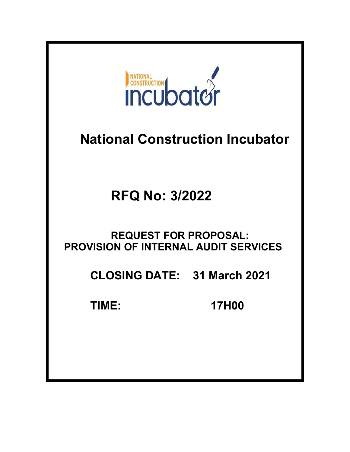

# National Construction Incubator

RFQ No: 3/2022

## REQUEST FOR PROPOSAL: PROVISION OF INTERNAL AUDIT SERVICES

CLOSING DATE: 31 March 2021

TIME: 17H00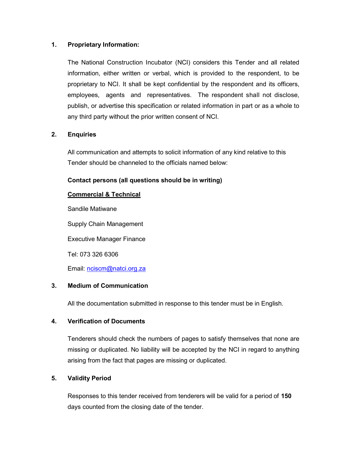### 1. Proprietary Information:

The National Construction Incubator (NCI) considers this Tender and all related information, either written or verbal, which is provided to the respondent, to be proprietary to NCI. It shall be kept confidential by the respondent and its officers, employees, agents and representatives. The respondent shall not disclose, publish, or advertise this specification or related information in part or as a whole to any third party without the prior written consent of NCI.

## 2. Enquiries

All communication and attempts to solicit information of any kind relative to this Tender should be channeled to the officials named below:

### Contact persons (all questions should be in writing)

### Commercial & Technical

Sandile Matiwane Supply Chain Management Executive Manager Finance Tel: 073 326 6306

Email: nciscm@natci.org.za

## 3. Medium of Communication

All the documentation submitted in response to this tender must be in English.

### 4. Verification of Documents

Tenderers should check the numbers of pages to satisfy themselves that none are missing or duplicated. No liability will be accepted by the NCI in regard to anything arising from the fact that pages are missing or duplicated.

### 5. Validity Period

Responses to this tender received from tenderers will be valid for a period of 150 days counted from the closing date of the tender.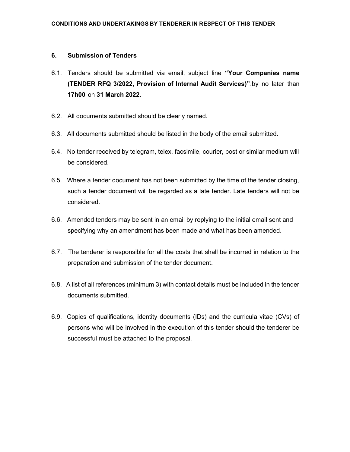#### 6. Submission of Tenders

- 6.1. Tenders should be submitted via email, subject line "Your Companies name (TENDER RFQ 3/2022, Provision of Internal Audit Services)".by no later than 17h00 on 31 March 2022.
- 6.2. All documents submitted should be clearly named.
- 6.3. All documents submitted should be listed in the body of the email submitted.
- 6.4. No tender received by telegram, telex, facsimile, courier, post or similar medium will be considered.
- 6.5. Where a tender document has not been submitted by the time of the tender closing, such a tender document will be regarded as a late tender. Late tenders will not be considered.
- 6.6. Amended tenders may be sent in an email by replying to the initial email sent and specifying why an amendment has been made and what has been amended.
- 6.7. The tenderer is responsible for all the costs that shall be incurred in relation to the preparation and submission of the tender document.
- 6.8. A list of all references (minimum 3) with contact details must be included in the tender documents submitted.
- 6.9. Copies of qualifications, identity documents (IDs) and the curricula vitae (CVs) of persons who will be involved in the execution of this tender should the tenderer be successful must be attached to the proposal.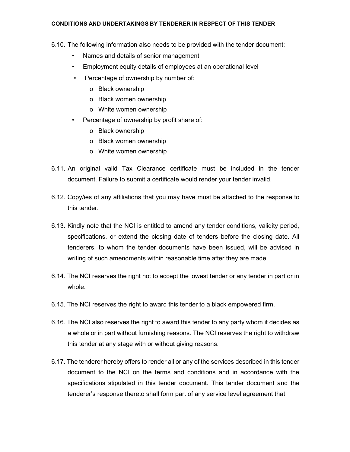#### CONDITIONS AND UNDERTAKINGS BY TENDERER IN RESPECT OF THIS TENDER

- 6.10. The following information also needs to be provided with the tender document:
	- Names and details of senior management
	- Employment equity details of employees at an operational level
	- Percentage of ownership by number of:
		- o Black ownership
		- o Black women ownership
		- o White women ownership
	- Percentage of ownership by profit share of:
		- o Black ownership
		- o Black women ownership
		- o White women ownership
- 6.11. An original valid Tax Clearance certificate must be included in the tender document. Failure to submit a certificate would render your tender invalid.
- 6.12. Copy/ies of any affiliations that you may have must be attached to the response to this tender.
- 6.13. Kindly note that the NCI is entitled to amend any tender conditions, validity period, specifications, or extend the closing date of tenders before the closing date. All tenderers, to whom the tender documents have been issued, will be advised in writing of such amendments within reasonable time after they are made.
- 6.14. The NCI reserves the right not to accept the lowest tender or any tender in part or in whole.
- 6.15. The NCI reserves the right to award this tender to a black empowered firm.
- 6.16. The NCI also reserves the right to award this tender to any party whom it decides as a whole or in part without furnishing reasons. The NCI reserves the right to withdraw this tender at any stage with or without giving reasons.
- 6.17. The tenderer hereby offers to render all or any of the services described in this tender document to the NCI on the terms and conditions and in accordance with the specifications stipulated in this tender document. This tender document and the tenderer's response thereto shall form part of any service level agreement that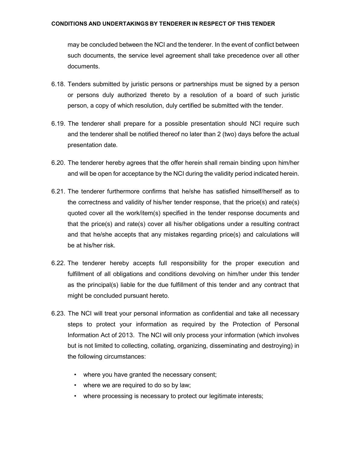#### CONDITIONS AND UNDERTAKINGS BY TENDERER IN RESPECT OF THIS TENDER

may be concluded between the NCI and the tenderer. In the event of conflict between such documents, the service level agreement shall take precedence over all other documents.

- 6.18. Tenders submitted by juristic persons or partnerships must be signed by a person or persons duly authorized thereto by a resolution of a board of such juristic person, a copy of which resolution, duly certified be submitted with the tender.
- 6.19. The tenderer shall prepare for a possible presentation should NCI require such and the tenderer shall be notified thereof no later than 2 (two) days before the actual presentation date.
- 6.20. The tenderer hereby agrees that the offer herein shall remain binding upon him/her and will be open for acceptance by the NCI during the validity period indicated herein.
- 6.21. The tenderer furthermore confirms that he/she has satisfied himself/herself as to the correctness and validity of his/her tender response, that the price(s) and rate(s) quoted cover all the work/item(s) specified in the tender response documents and that the price(s) and rate(s) cover all his/her obligations under a resulting contract and that he/she accepts that any mistakes regarding price(s) and calculations will be at his/her risk.
- 6.22. The tenderer hereby accepts full responsibility for the proper execution and fulfillment of all obligations and conditions devolving on him/her under this tender as the principal(s) liable for the due fulfillment of this tender and any contract that might be concluded pursuant hereto.
- 6.23. The NCI will treat your personal information as confidential and take all necessary steps to protect your information as required by the Protection of Personal Information Act of 2013. The NCI will only process your information (which involves but is not limited to collecting, collating, organizing, disseminating and destroying) in the following circumstances:
	- where you have granted the necessary consent;
	- where we are required to do so by law;
	- where processing is necessary to protect our legitimate interests;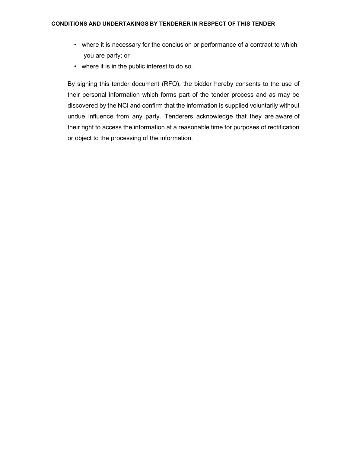- where it is necessary for the conclusion or performance of a contract to which you are party; or
- where it is in the public interest to do so.

By signing this tender document (RFQ), the bidder hereby consents to the use of their personal information which forms part of the tender process and as may be discovered by the NCI and confirm that the information is supplied voluntarily without undue influence from any party. Tenderers acknowledge that they are aware of their right to access the information at a reasonable time for purposes of rectification or object to the processing of the information.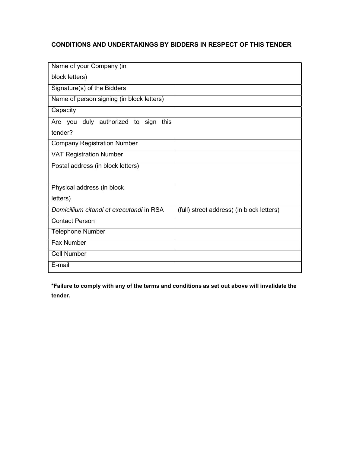## CONDITIONS AND UNDERTAKINGS BY BIDDERS IN RESPECT OF THIS TENDER

| Name of your Company (in                           |                                           |
|----------------------------------------------------|-------------------------------------------|
| block letters)                                     |                                           |
| Signature(s) of the Bidders                        |                                           |
| Name of person signing (in block letters)          |                                           |
| Capacity                                           |                                           |
| Are you duly authorized to sign<br>this<br>tender? |                                           |
| <b>Company Registration Number</b>                 |                                           |
| <b>VAT Registration Number</b>                     |                                           |
| Postal address (in block letters)                  |                                           |
| Physical address (in block                         |                                           |
| letters)                                           |                                           |
| Domicillium citandi et executandi in RSA           | (full) street address) (in block letters) |
| <b>Contact Person</b>                              |                                           |
| <b>Telephone Number</b>                            |                                           |
| <b>Fax Number</b>                                  |                                           |
| <b>Cell Number</b>                                 |                                           |
| E-mail                                             |                                           |

\*Failure to comply with any of the terms and conditions as set out above will invalidate the tender.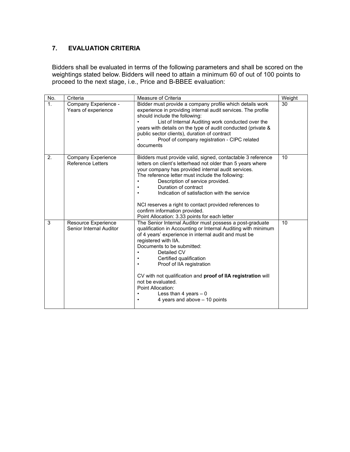## 7. EVALUATION CRITERIA

Bidders shall be evaluated in terms of the following parameters and shall be scored on the weightings stated below. Bidders will need to attain a minimum 60 of out of 100 points to proceed to the next stage, i.e., Price and B-BBEE evaluation:

| No.            | Criteria                                       | Measure of Criteria                                                                                                                                                                                                                                                                                                                                                                                                                                                                         | Weight |
|----------------|------------------------------------------------|---------------------------------------------------------------------------------------------------------------------------------------------------------------------------------------------------------------------------------------------------------------------------------------------------------------------------------------------------------------------------------------------------------------------------------------------------------------------------------------------|--------|
| 1 <sub>1</sub> | Company Experience -<br>Years of experience    | Bidder must provide a company profile which details work<br>experience in providing internal audit services. The profile<br>should include the following:<br>List of Internal Auditing work conducted over the<br>years with details on the type of audit conducted (private &<br>public sector clients), duration of contract<br>Proof of company registration - CIPC related<br>documents                                                                                                 | 30     |
| 2.             | Company Experience<br><b>Reference Letters</b> | Bidders must provide valid, signed, contactable 3 reference<br>letters on client's letterhead not older than 5 years where<br>your company has provided internal audit services.<br>The reference letter must include the following:<br>Description of service provided.<br>Duration of contract<br>Indication of satisfaction with the service<br>NCI reserves a right to contact provided references to<br>confirm information provided.<br>Point Allocation: 3.33 points for each letter | 10     |
| 3              | Resource Experience<br>Senior Internal Auditor | The Senior Internal Auditor must possess a post-graduate<br>qualification in Accounting or Internal Auditing with minimum<br>of 4 years' experience in internal audit and must be<br>registered with IIA.<br>Documents to be submitted:<br>Detailed CV<br>Certified qualification<br>Proof of IIA registration<br>CV with not qualification and proof of IIA registration will<br>not be evaluated.<br>Point Allocation:<br>Less than 4 years $-0$<br>4 years and above - 10 points         | 10     |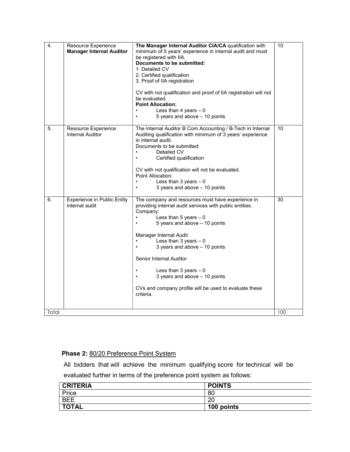| 4.    | Resource Experience<br><b>Manager Internal Auditor</b> | The Manager Internal Auditor CIA/CA qualification with<br>minimum of 5 years' experience in internal audit and must<br>be registered with IIA.<br>Documents to be submitted:<br>1. Detailed CV<br>2. Certified qualification<br>3. Proof of IIA registration<br>CV with not qualification and proof of IIA registration will not<br>be evaluated.<br><b>Point Allocation:</b><br>Less than 4 years $-0$<br>5 years and above - 10 points<br>$\bullet$ | 10  |
|-------|--------------------------------------------------------|-------------------------------------------------------------------------------------------------------------------------------------------------------------------------------------------------------------------------------------------------------------------------------------------------------------------------------------------------------------------------------------------------------------------------------------------------------|-----|
| 5.    | Resource Experience<br><b>Internal Auditor</b>         | The Internal Auditor B Com Accounting / B-Tech in Internal<br>Auditing qualification with minimum of 3 years' experience<br>in internal audit.<br>Documents to be submitted:<br>Detailed CV<br>Certified qualification<br>CV with not qualification will not be evaluated.<br>Point Allocation:<br>Less than 3 years $-0$<br>3 years and above - 10 points                                                                                            | 10  |
| 6.    | <b>Experience in Public Entity</b><br>internal audit   | The company and resources must have experience in<br>providing internal audit services with public entities.<br>Company:<br>Less than 5 years $-0$<br>5 years and above - 10 points<br>Manager Internal Audit<br>Less than $3$ years $-0$<br>3 years and above - 10 points<br>Senior Internal Auditor<br>Less than 3 years $-0$<br>3 years and above - 10 points<br>CVs and company profile will be used to evaluate these<br>criteria.               | 30  |
| Total |                                                        |                                                                                                                                                                                                                                                                                                                                                                                                                                                       | 100 |

## Phase 2: 80/20 Preference Point System

All bidders that will achieve the minimum qualifying score for technical will be evaluated further in terms of the preference point system as follows:

| <b>CRITERIA</b> | <b>POINTS</b> |
|-----------------|---------------|
| Price           | 80            |
| <b>BEE</b>      | 20            |
| <b>TOTAL</b>    | 100 points    |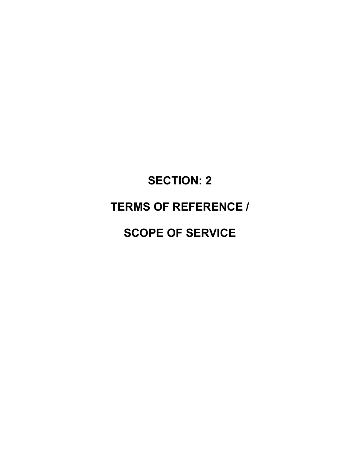# SECTION: 2

## TERMS OF REFERENCE /

## SCOPE OF SERVICE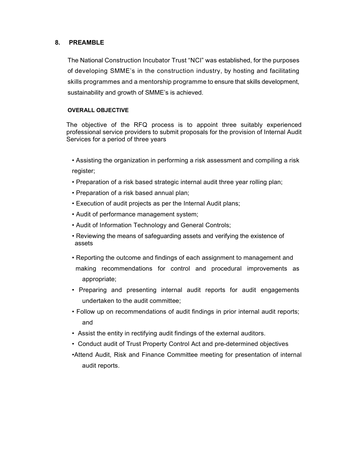### 8. PREAMBLE

The National Construction Incubator Trust "NCI" was established, for the purposes of developing SMME's in the construction industry, by hosting and facilitating skills programmes and a mentorship programme to ensure that skills development, sustainability and growth of SMME's is achieved.

#### OVERALL OBJECTIVE

The objective of the RFQ process is to appoint three suitably experienced professional service providers to submit proposals for the provision of Internal Audit Services for a period of three years

- Assisting the organization in performing a risk assessment and compiling a risk register;
- Preparation of a risk based strategic internal audit three year rolling plan;
- Preparation of a risk based annual plan;
- Execution of audit projects as per the Internal Audit plans;
- Audit of performance management system;
- Audit of Information Technology and General Controls;
- Reviewing the means of safeguarding assets and verifying the existence of assets
- Reporting the outcome and findings of each assignment to management and making recommendations for control and procedural improvements as appropriate;
- Preparing and presenting internal audit reports for audit engagements undertaken to the audit committee;
- Follow up on recommendations of audit findings in prior internal audit reports; and
- Assist the entity in rectifying audit findings of the external auditors.
- Conduct audit of Trust Property Control Act and pre-determined objectives
- •Attend Audit, Risk and Finance Committee meeting for presentation of internal audit reports.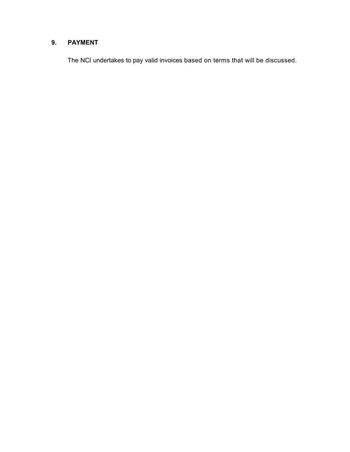## 9. PAYMENT

The NCI undertakes to pay valid invoices based on terms that will be discussed.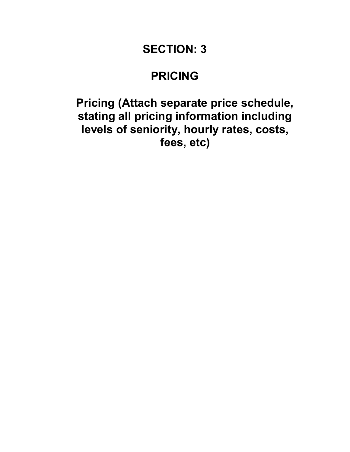## SECTION: 3

## PRICING

## Pricing (Attach separate price schedule, stating all pricing information including levels of seniority, hourly rates, costs, fees, etc)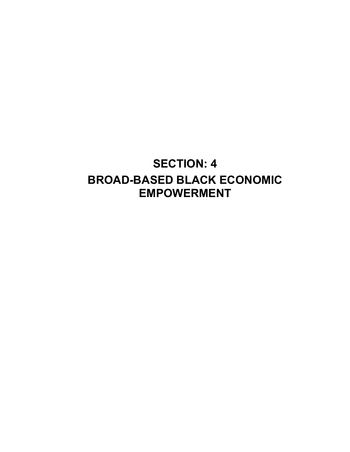## SECTION: 4 BROAD-BASED BLACK ECONOMIC EMPOWERMENT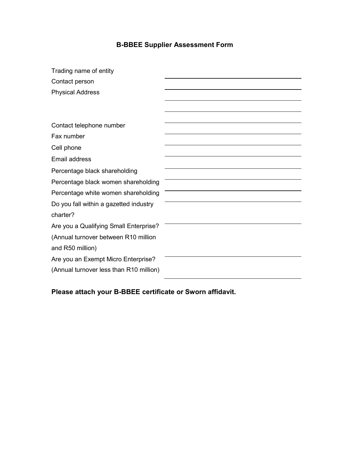## B-BBEE Supplier Assessment Form

| Trading name of entity                  |  |
|-----------------------------------------|--|
| Contact person                          |  |
| <b>Physical Address</b>                 |  |
|                                         |  |
|                                         |  |
| Contact telephone number                |  |
| Fax number                              |  |
| Cell phone                              |  |
| Email address                           |  |
| Percentage black shareholding           |  |
| Percentage black women shareholding     |  |
| Percentage white women shareholding     |  |
| Do you fall within a gazetted industry  |  |
| charter?                                |  |
| Are you a Qualifying Small Enterprise?  |  |
| (Annual turnover between R10 million    |  |
| and R50 million)                        |  |
| Are you an Exempt Micro Enterprise?     |  |
| (Annual turnover less than R10 million) |  |

Please attach your B-BBEE certificate or Sworn affidavit.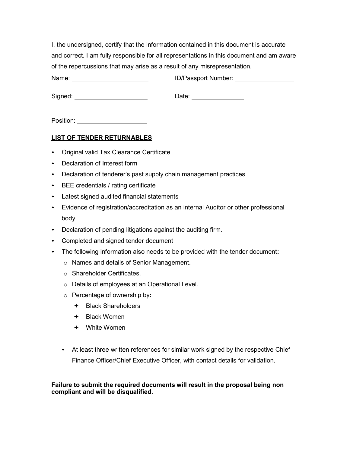I, the undersigned, certify that the information contained in this document is accurate and correct. I am fully responsible for all representations in this document and am aware of the repercussions that may arise as a result of any misrepresentation.

Date: **Date: Date: Date: Date:** 

Position:

## LIST OF TENDER RETURNABLES

- Original valid Tax Clearance Certificate
- Declaration of Interest form
- Declaration of tenderer's past supply chain management practices
- BEE credentials / rating certificate
- Latest signed audited financial statements
- Evidence of registration/accreditation as an internal Auditor or other professional body
- Declaration of pending litigations against the auditing firm.
- Completed and signed tender document
- The following information also needs to be provided with the tender document:
	- o Names and details of Senior Management.
	- o Shareholder Certificates.
	- o Details of employees at an Operational Level.
	- o Percentage of ownership by:
		- + Black Shareholders
		- Black Women
		- White Women
	- At least three written references for similar work signed by the respective Chief Finance Officer/Chief Executive Officer, with contact details for validation.

### Failure to submit the required documents will result in the proposal being non compliant and will be disqualified.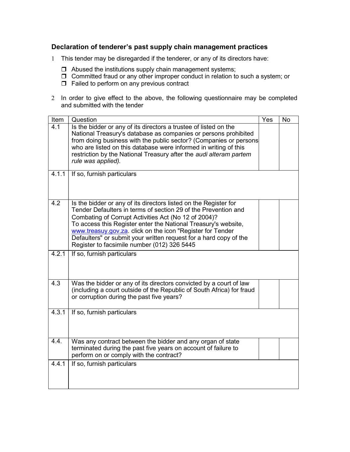## Declaration of tenderer's past supply chain management practices

- 1 This tender may be disregarded if the tenderer, or any of its directors have:
	- $\Box$  Abused the institutions supply chain management systems;
	- □ Committed fraud or any other improper conduct in relation to such a system; or
	- $\Box$  Failed to perform on any previous contract
- 2 In order to give effect to the above, the following questionnaire may be completed and submitted with the tender

| Item  | Question                                                                                                                                                                                                                                                                                                                                                                                                                                       | Yes | <b>No</b> |
|-------|------------------------------------------------------------------------------------------------------------------------------------------------------------------------------------------------------------------------------------------------------------------------------------------------------------------------------------------------------------------------------------------------------------------------------------------------|-----|-----------|
| 4.1   | Is the bidder or any of its directors a trustee of listed on the<br>National Treasury's database as companies or persons prohibited<br>from doing business with the public sector? (Companies or persons<br>who are listed on this database were informed in writing of this<br>restriction by the National Treasury after the audi alteram partem<br>rule was applied).                                                                       |     |           |
| 4.1.1 | If so, furnish particulars                                                                                                                                                                                                                                                                                                                                                                                                                     |     |           |
| 4.2   | Is the bidder or any of its directors listed on the Register for<br>Tender Defaulters in terms of section 29 of the Prevention and<br>Combating of Corrupt Activities Act (No 12 of 2004)?<br>To access this Register enter the National Treasury's website,<br>www.treasuy.gov.za. click on the icon "Register for Tender<br>Defaulters" or submit your written request for a hard copy of the<br>Register to facsimile number (012) 326 5445 |     |           |
| 4.2.1 | If so, furnish particulars                                                                                                                                                                                                                                                                                                                                                                                                                     |     |           |
| 4.3   | Was the bidder or any of its directors convicted by a court of law<br>(including a court outside of the Republic of South Africa) for fraud<br>or corruption during the past five years?                                                                                                                                                                                                                                                       |     |           |
| 4.3.1 | If so, furnish particulars                                                                                                                                                                                                                                                                                                                                                                                                                     |     |           |
| 4.4.  | Was any contract between the bidder and any organ of state<br>terminated during the past five years on account of failure to<br>perform on or comply with the contract?                                                                                                                                                                                                                                                                        |     |           |
| 4.4.1 | If so, furnish particulars                                                                                                                                                                                                                                                                                                                                                                                                                     |     |           |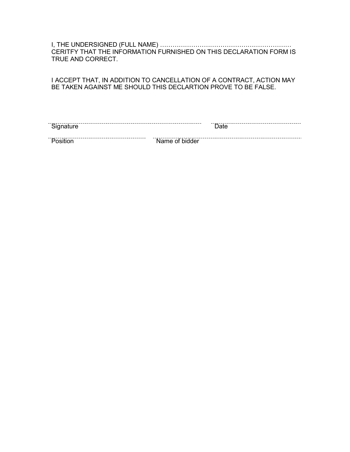I, THE UNDERSIGNED (FULL NAME) ……………………………………………………… CERITFY THAT THE INFORMATION FURNISHED ON THIS DECLARATION FORM IS TRUE AND CORRECT.

I ACCEPT THAT, IN ADDITION TO CANCELLATION OF A CONTRACT, ACTION MAY BE TAKEN AGAINST ME SHOULD THIS DECLARTION PROVE TO BE FALSE.

| -<br>ิ<br>⊳ignature |                | Jate |
|---------------------|----------------|------|
| $-11$               | Name of bidder |      |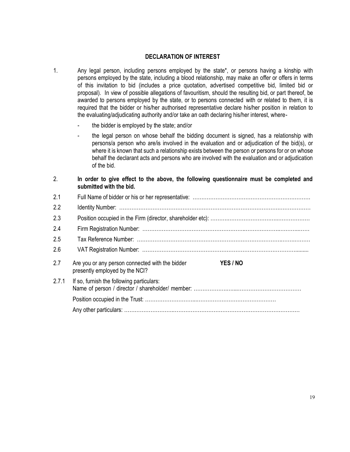#### DECLARATION OF INTEREST

- 1. Any legal person, including persons employed by the state\*, or persons having a kinship with persons employed by the state, including a blood relationship, may make an offer or offers in terms of this invitation to bid (includes a price quotation, advertised competitive bid, limited bid or proposal). In view of possible allegations of favouritism, should the resulting bid, or part thereof, be awarded to persons employed by the state, or to persons connected with or related to them, it is required that the bidder or his/her authorised representative declare his/her position in relation to the evaluating/adjudicating authority and/or take an oath declaring his/her interest, where
	- the bidder is employed by the state; and/or
	- the legal person on whose behalf the bidding document is signed, has a relationship with persons/a person who are/is involved in the evaluation and or adjudication of the bid(s), or where it is known that such a relationship exists between the person or persons for or on whose behalf the declarant acts and persons who are involved with the evaluation and or adjudication of the bid.
- 2. In order to give effect to the above, the following questionnaire must be completed and submitted with the bid.

| 2.1   |                                                                                   |          |
|-------|-----------------------------------------------------------------------------------|----------|
| 2.2   |                                                                                   |          |
| 2.3   |                                                                                   |          |
| 2.4   |                                                                                   |          |
| 2.5   |                                                                                   |          |
| 2.6   |                                                                                   |          |
|       |                                                                                   |          |
| 2.7   | Are you or any person connected with the bidder<br>presently employed by the NCI? | YES / NO |
| 2.7.1 | If so, furnish the following particulars:                                         |          |
|       |                                                                                   |          |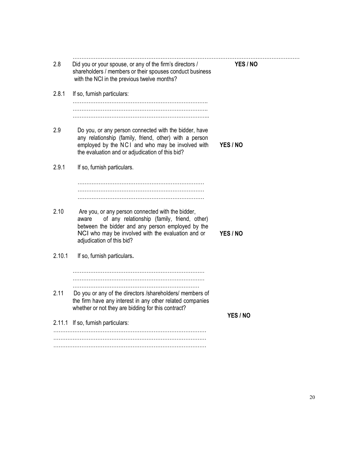| 2.8    | Did you or your spouse, or any of the firm's directors /<br>shareholders / members or their spouses conduct business<br>with the NCI in the previous twelve months?                                                                               | YES / NO |
|--------|---------------------------------------------------------------------------------------------------------------------------------------------------------------------------------------------------------------------------------------------------|----------|
| 2.8.1  | If so, furnish particulars:                                                                                                                                                                                                                       |          |
| 2.9    | Do you, or any person connected with the bidder, have<br>any relationship (family, friend, other) with a person<br>employed by the NCI and who may be involved with<br>the evaluation and or adjudication of this bid?                            | YES / NO |
| 2.9.1  | If so, furnish particulars.                                                                                                                                                                                                                       |          |
|        |                                                                                                                                                                                                                                                   |          |
| 2.10   | Are you, or any person connected with the bidder,<br>of any relationship (family, friend, other)<br>aware<br>between the bidder and any person employed by the<br>NCI who may be involved with the evaluation and or<br>adjudication of this bid? | YES / NO |
| 2.10.1 | If so, furnish particulars.                                                                                                                                                                                                                       |          |
|        |                                                                                                                                                                                                                                                   |          |
| 2.11   | Do you or any of the directors /shareholders/ members of<br>the firm have any interest in any other related companies<br>whether or not they are bidding for this contract?                                                                       |          |
|        | 2.11.1 If so, furnish particulars:                                                                                                                                                                                                                | YES / NO |
|        |                                                                                                                                                                                                                                                   |          |
|        |                                                                                                                                                                                                                                                   |          |